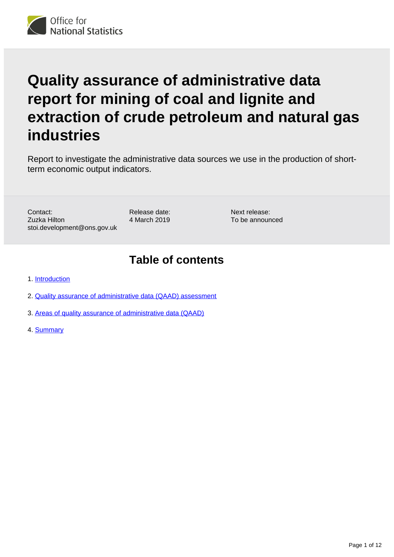# **Quality assurance of administrative data report for mining of coal and lignite and extraction of crude petroleum and natural gas industries**

Report to investigate the administrative data sources we use in the production of shortterm economic output indicators.

Contact: Zuzka Hilton stoi.development@ons.gov.uk Release date: 4 March 2019

Next release: To be announced

## **Table of contents**

- 1. [Introduction](#page-1-0)
- 2. [Quality assurance of administrative data \(QAAD\) assessment](#page-2-0)
- 3. [Areas of quality assurance of administrative data \(QAAD\)](#page-3-0)
- 4. [Summary](#page-11-0)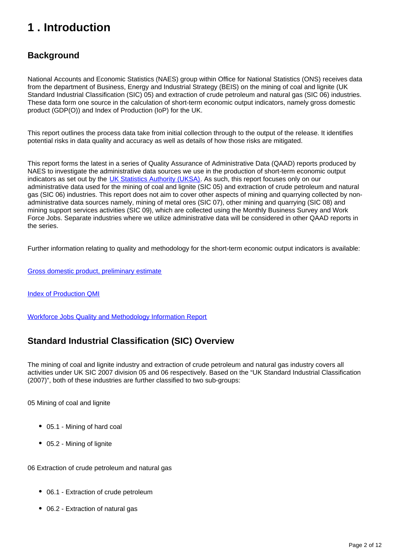## <span id="page-1-0"></span>**1 . Introduction**

## **Background**

National Accounts and Economic Statistics (NAES) group within Office for National Statistics (ONS) receives data from the department of Business, Energy and Industrial Strategy (BEIS) on the mining of coal and lignite (UK Standard Industrial Classification (SIC) 05) and extraction of crude petroleum and natural gas (SIC 06) industries. These data form one source in the calculation of short-term economic output indicators, namely gross domestic product (GDP(O)) and Index of Production (IoP) for the UK.

This report outlines the process data take from initial collection through to the output of the release. It identifies potential risks in data quality and accuracy as well as details of how those risks are mitigated.

This report forms the latest in a series of Quality Assurance of Administrative Data (QAAD) reports produced by NAES to investigate the administrative data sources we use in the production of short-term economic output indicators as set out by the [UK Statistics Authority \(UKSA\).](https://www.statisticsauthority.gov.uk/osr/monitoring/administrative-data-and-official-statistics/) As such, this report focuses only on our administrative data used for the mining of coal and lignite (SIC 05) and extraction of crude petroleum and natural gas (SIC 06) industries. This report does not aim to cover other aspects of mining and quarrying collected by nonadministrative data sources namely, mining of metal ores (SIC 07), other mining and quarrying (SIC 08) and mining support services activities (SIC 09), which are collected using the Monthly Business Survey and Work Force Jobs. Separate industries where we utilize administrative data will be considered in other QAAD reports in the series.

Further information relating to quality and methodology for the short-term economic output indicators is available:

[Gross domestic product, preliminary estimate](https://www.ons.gov.uk/economy/grossdomesticproductgdp/bulletins/grossdomesticproductpreliminaryestimate/octtodec2016)

[Index of Production QMI](https://www.ons.gov.uk/economy/economicoutputandproductivity/output/bulletins/indexofproduction/previousReleases)

[Workforce Jobs Quality and Methodology Information Report](https://www.ons.gov.uk/employmentandlabourmarket/peopleinwork/employmentandemployeetypes/qmis/workforcejobsqmi)

## **Standard Industrial Classification (SIC) Overview**

The mining of coal and lignite industry and extraction of crude petroleum and natural gas industry covers all activities under UK SIC 2007 division 05 and 06 respectively. Based on the "UK Standard Industrial Classification (2007)", both of these industries are further classified to two sub-groups:

05 Mining of coal and lignite

- 05.1 Mining of hard coal
- 05.2 Mining of lignite

06 Extraction of crude petroleum and natural gas

- 06.1 Extraction of crude petroleum
- 06.2 Extraction of natural gas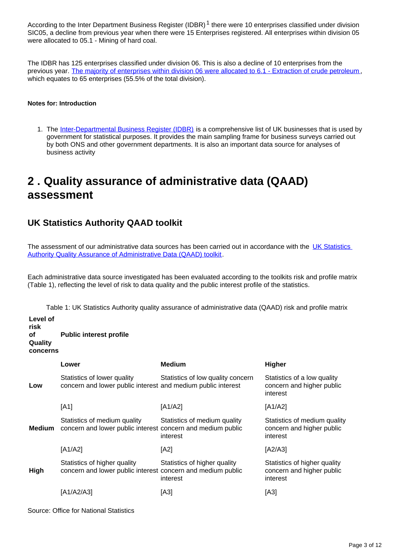According to the Inter Department Business Register (IDBR)<sup>1</sup> there were 10 enterprises classified under division SIC05, a decline from previous year when there were 15 Enterprises registered. All enterprises within division 05 were allocated to 05.1 - Mining of hard coal.

The IDBR has 125 enterprises classified under division 06. This is also a decline of 10 enterprises from the previous year. [The majority of enterprises within division 06 were allocated to 6.1 - Extraction of crude petroleum](https://www.ons.gov.uk/businessindustryandtrade/business/activitysizeandlocation/datasets/ukbusinessactivitysizeandlocation), which equates to 65 enterprises (55.5% of the total division).

#### **Notes for: Introduction**

1. The [Inter-Departmental Business Register \(IDBR\)](http://www.ons.gov.uk/ons/about-ons/products-and-services/idbr/index.html) is a comprehensive list of UK businesses that is used by government for statistical purposes. It provides the main sampling frame for business surveys carried out by both ONS and other government departments. It is also an important data source for analyses of business activity

## <span id="page-2-0"></span>**2 . Quality assurance of administrative data (QAAD) assessment**

## **UK Statistics Authority QAAD toolkit**

The assessment of our administrative data sources has been carried out in accordance with the UK Statistics [Authority Quality Assurance of Administrative Data \(QAAD\) toolkit.](https://www.statisticsauthority.gov.uk/publication/administrative-data-quality-assurance-toolkit/)

Each administrative data source investigated has been evaluated according to the toolkits risk and profile matrix (Table 1), reflecting the level of risk to data quality and the public interest profile of the statistics.

Table 1: UK Statistics Authority quality assurance of administrative data (QAAD) risk and profile matrix

| Level of<br>risk<br>оf<br>Quality<br>concerns | <b>Public interest profile</b>                                                              |                                          |                                                                       |  |  |  |  |
|-----------------------------------------------|---------------------------------------------------------------------------------------------|------------------------------------------|-----------------------------------------------------------------------|--|--|--|--|
|                                               | Lower                                                                                       | <b>Medium</b>                            | <b>Higher</b>                                                         |  |  |  |  |
| Low                                           | Statistics of lower quality<br>concern and lower public interest and medium public interest | Statistics of low quality concern        | Statistics of a low quality<br>concern and higher public<br>interest  |  |  |  |  |
|                                               | [A1]                                                                                        | [A1/A2]                                  | [A1/A2]                                                               |  |  |  |  |
| Medium                                        | Statistics of medium quality<br>concern and lower public interest concern and medium public | Statistics of medium quality<br>interest | Statistics of medium quality<br>concern and higher public<br>interest |  |  |  |  |
|                                               | [A1/A2]                                                                                     | [A2]                                     | $[A2/A3]$                                                             |  |  |  |  |
| High                                          | Statistics of higher quality<br>concern and lower public interest concern and medium public | Statistics of higher quality<br>interest | Statistics of higher quality<br>concern and higher public<br>interest |  |  |  |  |
|                                               | [A1/A2/A3]                                                                                  | [A3]                                     | [A3]                                                                  |  |  |  |  |
|                                               | Source: Office for National Statistics                                                      |                                          |                                                                       |  |  |  |  |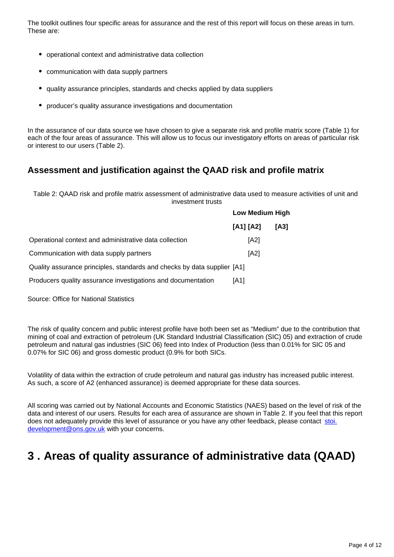The toolkit outlines four specific areas for assurance and the rest of this report will focus on these areas in turn. These are:

- operational context and administrative data collection
- communication with data supply partners
- quality assurance principles, standards and checks applied by data suppliers
- producer's quality assurance investigations and documentation

In the assurance of our data source we have chosen to give a separate risk and profile matrix score (Table 1) for each of the four areas of assurance. This will allow us to focus our investigatory efforts on areas of particular risk or interest to our users (Table 2).

### **Assessment and justification against the QAAD risk and profile matrix**

Table 2: QAAD risk and profile matrix assessment of administrative data used to measure activities of unit and investment trusts

|                                                                          | <b>Low Medium High</b> |      |  |
|--------------------------------------------------------------------------|------------------------|------|--|
|                                                                          | [A1] [A2]              | [A3] |  |
| Operational context and administrative data collection                   | [A2]                   |      |  |
| Communication with data supply partners                                  | [A2]                   |      |  |
| Quality assurance principles, standards and checks by data supplier [A1] |                        |      |  |
| Producers quality assurance investigations and documentation             | [A1]                   |      |  |

Source: Office for National Statistics

The risk of quality concern and public interest profile have both been set as "Medium" due to the contribution that mining of coal and extraction of petroleum (UK Standard Industrial Classification (SIC) 05) and extraction of crude petroleum and natural gas industries (SIC 06) feed into Index of Production (less than 0.01% for SIC 05 and 0.07% for SIC 06) and gross domestic product (0.9% for both SICs.

Volatility of data within the extraction of crude petroleum and natural gas industry has increased public interest. As such, a score of A2 (enhanced assurance) is deemed appropriate for these data sources.

All scoring was carried out by National Accounts and Economic Statistics (NAES) based on the level of risk of the data and interest of our users. Results for each area of assurance are shown in Table 2. If you feel that this report does not adequately provide this level of assurance or you have any other feedback, please contact stoi. development@ons.gov.uk with your concerns.

## <span id="page-3-0"></span>**3 . Areas of quality assurance of administrative data (QAAD)**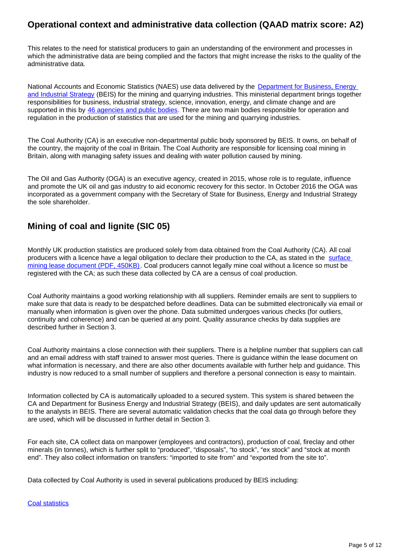## **Operational context and administrative data collection (QAAD matrix score: A2)**

This relates to the need for statistical producers to gain an understanding of the environment and processes in which the administrative data are being complied and the factors that might increase the risks to the quality of the administrative data.

National Accounts and Economic Statistics (NAES) use data delivered by the Department for Business, Energy [and Industrial Strategy](https://www.gov.uk/government/organisations/department-for-business-energy-and-industrial-strategy) (BEIS) for the mining and quarrying industries. This ministerial department brings together responsibilities for business, industrial strategy, science, innovation, energy, and climate change and are supported in this by [46 agencies and public bodies.](https://www.gov.uk/government/organisations) There are two main bodies responsible for operation and regulation in the production of statistics that are used for the mining and quarrying industries.

The Coal Authority (CA) is an executive non-departmental public body sponsored by BEIS. It owns, on behalf of the country, the majority of the coal in Britain. The Coal Authority are responsible for licensing coal mining in Britain, along with managing safety issues and dealing with water pollution caused by mining.

The Oil and Gas Authority (OGA) is an executive agency, created in 2015, whose role is to regulate, influence and promote the UK oil and gas industry to aid economic recovery for this sector. In October 2016 the OGA was incorporated as a government company with the Secretary of State for Business, Energy and Industrial Strategy the sole shareholder.

## **Mining of coal and lignite (SIC 05)**

Monthly UK production statistics are produced solely from data obtained from the Coal Authority (CA). All coal producers with a licence have a legal obligation to declare their production to the CA, as stated in the surface [mining lease document \(PDF, 450KB\).](https://www.gov.uk/government/uploads/system/uploads/attachment_data/file/361702/Surface_mining_lease_-_model_document.pdf) Coal producers cannot legally mine coal without a licence so must be registered with the CA; as such these data collected by CA are a census of coal production.

Coal Authority maintains a good working relationship with all suppliers. Reminder emails are sent to suppliers to make sure that data is ready to be despatched before deadlines. Data can be submitted electronically via email or manually when information is given over the phone. Data submitted undergoes various checks (for outliers, continuity and coherence) and can be queried at any point. Quality assurance checks by data supplies are described further in Section 3.

Coal Authority maintains a close connection with their suppliers. There is a helpline number that suppliers can call and an email address with staff trained to answer most queries. There is guidance within the lease document on what information is necessary, and there are also other documents available with further help and guidance. This industry is now reduced to a small number of suppliers and therefore a personal connection is easy to maintain.

Information collected by CA is automatically uploaded to a secured system. This system is shared between the CA and Department for Business Energy and Industrial Strategy (BEIS), and daily updates are sent automatically to the analysts in BEIS. There are several automatic validation checks that the coal data go through before they are used, which will be discussed in further detail in Section 3.

For each site, CA collect data on manpower (employees and contractors), production of coal, fireclay and other minerals (in tonnes), which is further split to "produced", "disposals", "to stock", "ex stock" and "stock at month end". They also collect information on transfers: "imported to site from" and "exported from the site to".

Data collected by Coal Authority is used in several publications produced by BEIS including:

[Coal statistics](https://www.gov.uk/government/collections/coal-statistics)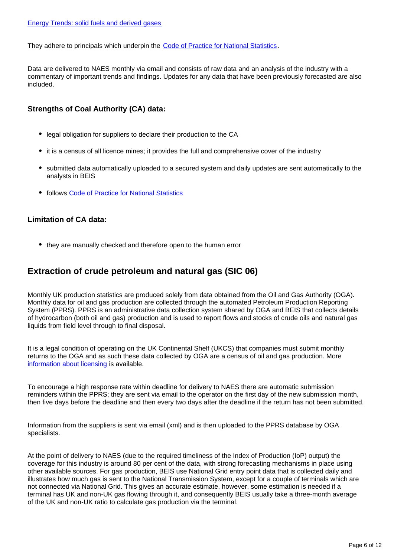They adhere to principals which underpin the [Code of Practice for National Statistics](https://www.statisticsauthority.gov.uk/osr/code-of-practice/).

Data are delivered to NAES monthly via email and consists of raw data and an analysis of the industry with a commentary of important trends and findings. Updates for any data that have been previously forecasted are also included.

#### **Strengths of Coal Authority (CA) data:**

- legal obligation for suppliers to declare their production to the CA
- it is a census of all licence mines; it provides the full and comprehensive cover of the industry
- submitted data automatically uploaded to a secured system and daily updates are sent automatically to the analysts in BEIS
- follows [Code of Practice for National Statistics](https://www.statisticsauthority.gov.uk/osr/code-of-practice/)

#### **Limitation of CA data:**

they are manually checked and therefore open to the human error

### **Extraction of crude petroleum and natural gas (SIC 06)**

Monthly UK production statistics are produced solely from data obtained from the Oil and Gas Authority (OGA). Monthly data for oil and gas production are collected through the automated Petroleum Production Reporting System (PPRS). PPRS is an administrative data collection system shared by OGA and BEIS that collects details of hydrocarbon (both oil and gas) production and is used to report flows and stocks of crude oils and natural gas liquids from field level through to final disposal.

It is a legal condition of operating on the UK Continental Shelf (UKCS) that companies must submit monthly returns to the OGA and as such these data collected by OGA are a census of oil and gas production. More [information about licensing](https://www.ogauthority.co.uk/licensing-consents/overview/) is available.

To encourage a high response rate within deadline for delivery to NAES there are automatic submission reminders within the PPRS; they are sent via email to the operator on the first day of the new submission month, then five days before the deadline and then every two days after the deadline if the return has not been submitted.

Information from the suppliers is sent via email (xml) and is then uploaded to the PPRS database by OGA specialists.

At the point of delivery to NAES (due to the required timeliness of the Index of Production (IoP) output) the coverage for this industry is around 80 per cent of the data, with strong forecasting mechanisms in place using other available sources. For gas production, BEIS use National Grid entry point data that is collected daily and illustrates how much gas is sent to the National Transmission System, except for a couple of terminals which are not connected via National Grid. This gives an accurate estimate, however, some estimation is needed if a terminal has UK and non-UK gas flowing through it, and consequently BEIS usually take a three-month average of the UK and non-UK ratio to calculate gas production via the terminal.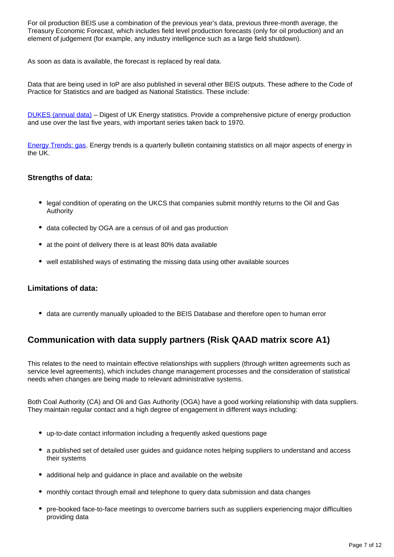For oil production BEIS use a combination of the previous year's data, previous three-month average, the Treasury Economic Forecast, which includes field level production forecasts (only for oil production) and an element of judgement (for example, any industry intelligence such as a large field shutdown).

As soon as data is available, the forecast is replaced by real data.

Data that are being used in IoP are also published in several other BEIS outputs. These adhere to the Code of Practice for Statistics and are badged as National Statistics. These include:

[DUKES \(annual data\)](https://www.gov.uk/government/statistics/natural-gas-chapter-4-digest-of-united-kingdom-energy-statistics-dukes) – Digest of UK Energy statistics. Provide a comprehensive picture of energy production and use over the last five years, with important series taken back to 1970.

[Energy Trends: gas](https://www.gov.uk/government/statistics/gas-section-4-energy-trends). Energy trends is a quarterly bulletin containing statistics on all major aspects of energy in the UK.

#### **Strengths of data:**

- legal condition of operating on the UKCS that companies submit monthly returns to the Oil and Gas Authority
- data collected by OGA are a census of oil and gas production
- at the point of delivery there is at least 80% data available
- well established ways of estimating the missing data using other available sources

#### **Limitations of data:**

data are currently manually uploaded to the BEIS Database and therefore open to human error

## **Communication with data supply partners (Risk QAAD matrix score A1)**

This relates to the need to maintain effective relationships with suppliers (through written agreements such as service level agreements), which includes change management processes and the consideration of statistical needs when changes are being made to relevant administrative systems.

Both Coal Authority (CA) and Oli and Gas Authority (OGA) have a good working relationship with data suppliers. They maintain regular contact and a high degree of engagement in different ways including:

- up-to-date contact information including a frequently asked questions page
- a published set of detailed user guides and guidance notes helping suppliers to understand and access their systems
- additional help and guidance in place and available on the website
- monthly contact through email and telephone to query data submission and data changes
- pre-booked face-to-face meetings to overcome barriers such as suppliers experiencing major difficulties providing data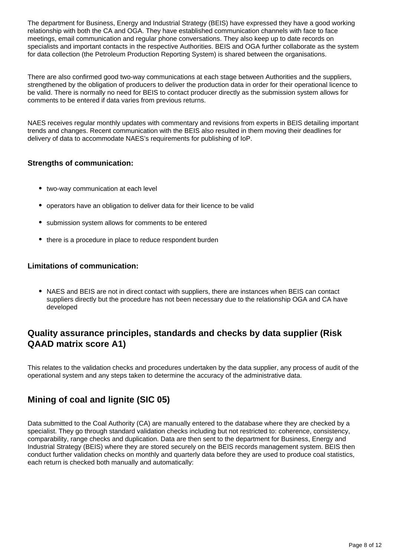The department for Business, Energy and Industrial Strategy (BEIS) have expressed they have a good working relationship with both the CA and OGA. They have established communication channels with face to face meetings, email communication and regular phone conversations. They also keep up to date records on specialists and important contacts in the respective Authorities. BEIS and OGA further collaborate as the system for data collection (the Petroleum Production Reporting System) is shared between the organisations.

There are also confirmed good two-way communications at each stage between Authorities and the suppliers, strengthened by the obligation of producers to deliver the production data in order for their operational licence to be valid. There is normally no need for BEIS to contact producer directly as the submission system allows for comments to be entered if data varies from previous returns.

NAES receives regular monthly updates with commentary and revisions from experts in BEIS detailing important trends and changes. Recent communication with the BEIS also resulted in them moving their deadlines for delivery of data to accommodate NAES's requirements for publishing of IoP.

#### **Strengths of communication:**

- two-way communication at each level
- operators have an obligation to deliver data for their licence to be valid
- submission system allows for comments to be entered
- there is a procedure in place to reduce respondent burden

#### **Limitations of communication:**

• NAES and BEIS are not in direct contact with suppliers, there are instances when BEIS can contact suppliers directly but the procedure has not been necessary due to the relationship OGA and CA have developed

## **Quality assurance principles, standards and checks by data supplier (Risk QAAD matrix score A1)**

This relates to the validation checks and procedures undertaken by the data supplier, any process of audit of the operational system and any steps taken to determine the accuracy of the administrative data.

## **Mining of coal and lignite (SIC 05)**

Data submitted to the Coal Authority (CA) are manually entered to the database where they are checked by a specialist. They go through standard validation checks including but not restricted to: coherence, consistency, comparability, range checks and duplication. Data are then sent to the department for Business, Energy and Industrial Strategy (BEIS) where they are stored securely on the BEIS records management system. BEIS then conduct further validation checks on monthly and quarterly data before they are used to produce coal statistics, each return is checked both manually and automatically: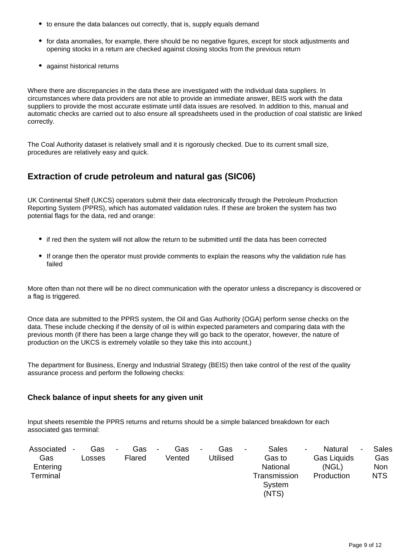- to ensure the data balances out correctly, that is, supply equals demand
- for data anomalies, for example, there should be no negative figures, except for stock adjustments and opening stocks in a return are checked against closing stocks from the previous return
- against historical returns

Where there are discrepancies in the data these are investigated with the individual data suppliers. In circumstances where data providers are not able to provide an immediate answer, BEIS work with the data suppliers to provide the most accurate estimate until data issues are resolved. In addition to this, manual and automatic checks are carried out to also ensure all spreadsheets used in the production of coal statistic are linked correctly.

The Coal Authority dataset is relatively small and it is rigorously checked. Due to its current small size, procedures are relatively easy and quick.

## **Extraction of crude petroleum and natural gas (SIC06)**

UK Continental Shelf (UKCS) operators submit their data electronically through the Petroleum Production Reporting System (PPRS), which has automated validation rules. If these are broken the system has two potential flags for the data, red and orange:

- if red then the system will not allow the return to be submitted until the data has been corrected
- If orange then the operator must provide comments to explain the reasons why the validation rule has failed

More often than not there will be no direct communication with the operator unless a discrepancy is discovered or a flag is triggered.

Once data are submitted to the PPRS system, the Oil and Gas Authority (OGA) perform sense checks on the data. These include checking if the density of oil is within expected parameters and comparing data with the previous month (if there has been a large change they will go back to the operator, however, the nature of production on the UKCS is extremely volatile so they take this into account.)

The department for Business, Energy and Industrial Strategy (BEIS) then take control of the rest of the quality assurance process and perform the following checks:

#### **Check balance of input sheets for any given unit**

Input sheets resemble the PPRS returns and returns should be a simple balanced breakdown for each associated gas terminal:

| Associated | ۰. | Gas    | $\sim$ | Gas    | $\blacksquare$ | Gas    | $\blacksquare$ | Gas      | $\blacksquare$ | <b>Sales</b> | ۰. | Natural            | Sales      |
|------------|----|--------|--------|--------|----------------|--------|----------------|----------|----------------|--------------|----|--------------------|------------|
| Gas        |    | Losses |        | Flared |                | Vented |                | Utilised |                | Gas to       |    | <b>Gas Liquids</b> | Gas        |
| Entering   |    |        |        |        |                |        |                |          |                | National     |    | (NGL)              | Non        |
| Terminal   |    |        |        |        |                |        |                |          |                | Transmission |    | Production         | <b>NTS</b> |
|            |    |        |        |        |                |        |                |          |                | System       |    |                    |            |
|            |    |        |        |        |                |        |                |          |                | (NTS)        |    |                    |            |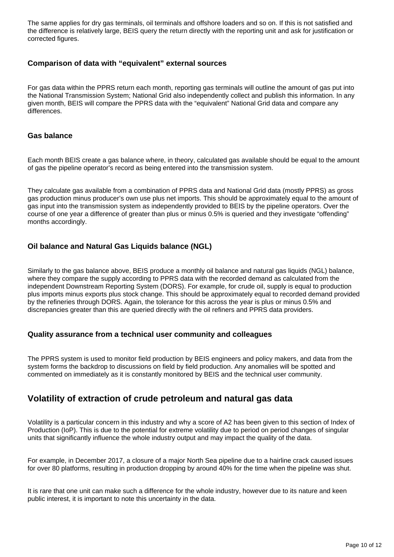The same applies for dry gas terminals, oil terminals and offshore loaders and so on. If this is not satisfied and the difference is relatively large, BEIS query the return directly with the reporting unit and ask for justification or corrected figures.

#### **Comparison of data with "equivalent" external sources**

For gas data within the PPRS return each month, reporting gas terminals will outline the amount of gas put into the National Transmission System; National Grid also independently collect and publish this information. In any given month, BEIS will compare the PPRS data with the "equivalent" National Grid data and compare any differences.

#### **Gas balance**

Each month BEIS create a gas balance where, in theory, calculated gas available should be equal to the amount of gas the pipeline operator's record as being entered into the transmission system.

They calculate gas available from a combination of PPRS data and National Grid data (mostly PPRS) as gross gas production minus producer's own use plus net imports. This should be approximately equal to the amount of gas input into the transmission system as independently provided to BEIS by the pipeline operators. Over the course of one year a difference of greater than plus or minus 0.5% is queried and they investigate "offending" months accordingly.

#### **Oil balance and Natural Gas Liquids balance (NGL)**

Similarly to the gas balance above, BEIS produce a monthly oil balance and natural gas liquids (NGL) balance, where they compare the supply according to PPRS data with the recorded demand as calculated from the independent Downstream Reporting System (DORS). For example, for crude oil, supply is equal to production plus imports minus exports plus stock change. This should be approximately equal to recorded demand provided by the refineries through DORS. Again, the tolerance for this across the year is plus or minus 0.5% and discrepancies greater than this are queried directly with the oil refiners and PPRS data providers.

#### **Quality assurance from a technical user community and colleagues**

The PPRS system is used to monitor field production by BEIS engineers and policy makers, and data from the system forms the backdrop to discussions on field by field production. Any anomalies will be spotted and commented on immediately as it is constantly monitored by BEIS and the technical user community.

## **Volatility of extraction of crude petroleum and natural gas data**

Volatility is a particular concern in this industry and why a score of A2 has been given to this section of Index of Production (IoP). This is due to the potential for extreme volatility due to period on period changes of singular units that significantly influence the whole industry output and may impact the quality of the data.

For example, in December 2017, a closure of a major North Sea pipeline due to a hairline crack caused issues for over 80 platforms, resulting in production dropping by around 40% for the time when the pipeline was shut.

It is rare that one unit can make such a difference for the whole industry, however due to its nature and keen public interest, it is important to note this uncertainty in the data.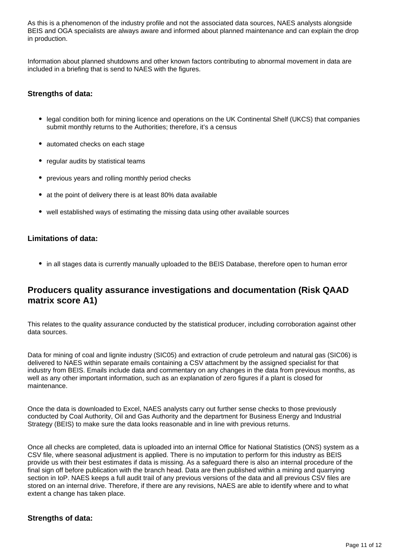As this is a phenomenon of the industry profile and not the associated data sources, NAES analysts alongside BEIS and OGA specialists are always aware and informed about planned maintenance and can explain the drop in production.

Information about planned shutdowns and other known factors contributing to abnormal movement in data are included in a briefing that is send to NAES with the figures.

#### **Strengths of data:**

- legal condition both for mining licence and operations on the UK Continental Shelf (UKCS) that companies submit monthly returns to the Authorities; therefore, it's a census
- automated checks on each stage
- regular audits by statistical teams
- previous years and rolling monthly period checks
- at the point of delivery there is at least 80% data available
- well established ways of estimating the missing data using other available sources

#### **Limitations of data:**

• in all stages data is currently manually uploaded to the BEIS Database, therefore open to human error

### **Producers quality assurance investigations and documentation (Risk QAAD matrix score A1)**

This relates to the quality assurance conducted by the statistical producer, including corroboration against other data sources.

Data for mining of coal and lignite industry (SIC05) and extraction of crude petroleum and natural gas (SIC06) is delivered to NAES within separate emails containing a CSV attachment by the assigned specialist for that industry from BEIS. Emails include data and commentary on any changes in the data from previous months, as well as any other important information, such as an explanation of zero figures if a plant is closed for maintenance.

Once the data is downloaded to Excel, NAES analysts carry out further sense checks to those previously conducted by Coal Authority, Oil and Gas Authority and the department for Business Energy and Industrial Strategy (BEIS) to make sure the data looks reasonable and in line with previous returns.

Once all checks are completed, data is uploaded into an internal Office for National Statistics (ONS) system as a CSV file, where seasonal adjustment is applied. There is no imputation to perform for this industry as BEIS provide us with their best estimates if data is missing. As a safeguard there is also an internal procedure of the final sign off before publication with the branch head. Data are then published within a mining and quarrying section in IoP. NAES keeps a full audit trail of any previous versions of the data and all previous CSV files are stored on an internal drive. Therefore, if there are any revisions, NAES are able to identify where and to what extent a change has taken place.

#### **Strengths of data:**